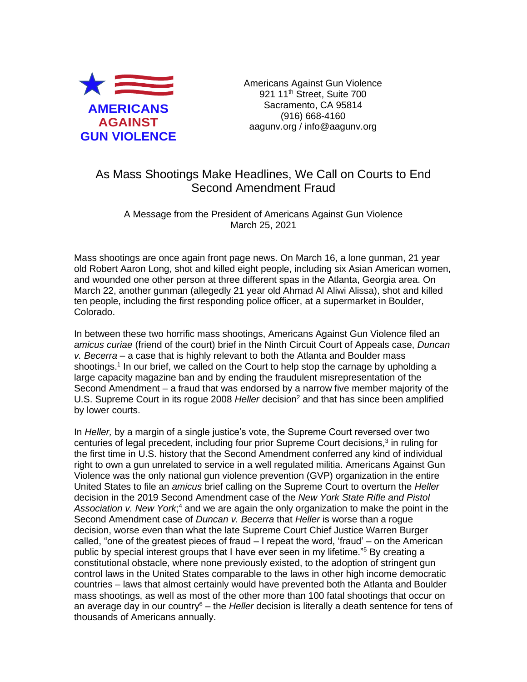

Americans Against Gun Violence 921 11<sup>th</sup> Street, Suite 700 Sacramento, CA 95814 (916) 668-4160 aagunv.org / info@aagunv.org

## As Mass Shootings Make Headlines, We Call on Courts to End Second Amendment Fraud

A Message from the President of Americans Against Gun Violence March 25, 2021

Mass shootings are once again front page news. On March 16, a lone gunman, 21 year old Robert Aaron Long, shot and killed eight people, including six Asian American women, and wounded one other person at three different spas in the Atlanta, Georgia area. On March 22, another gunman (allegedly 21 year old Ahmad Al Aliwi Alissa), shot and killed ten people, including the first responding police officer, at a supermarket in Boulder, Colorado.

In between these two horrific mass shootings, Americans Against Gun Violence filed an *amicus curiae* (friend of the court) brief in the Ninth Circuit Court of Appeals case, *Duncan v. Becerra* – a case that is highly relevant to both the Atlanta and Boulder mass shootings.<sup>1</sup> In our brief, we called on the Court to help stop the carnage by upholding a large capacity magazine ban and by ending the fraudulent misrepresentation of the Second Amendment – a fraud that was endorsed by a narrow five member majority of the U.S. Supreme Court in its roque 2008 *Heller* decision<sup>2</sup> and that has since been amplified by lower courts.

In *Heller,* by a margin of a single justice's vote, the Supreme Court reversed over two centuries of legal precedent, including four prior Supreme Court decisions,<sup>3</sup> in ruling for the first time in U.S. history that the Second Amendment conferred any kind of individual right to own a gun unrelated to service in a well regulated militia. Americans Against Gun Violence was the only national gun violence prevention (GVP) organization in the entire United States to file an *amicus* brief calling on the Supreme Court to overturn the *Heller*  decision in the 2019 Second Amendment case of the *New York State Rifle and Pistol*  Association v. New York<sup>4</sup>, and we are again the only organization to make the point in the Second Amendment case of *Duncan v. Becerra* that *Heller* is worse than a rogue decision, worse even than what the late Supreme Court Chief Justice Warren Burger called, "one of the greatest pieces of fraud – I repeat the word, 'fraud' – on the American public by special interest groups that I have ever seen in my lifetime."<sup>5</sup> By creating a constitutional obstacle, where none previously existed, to the adoption of stringent gun control laws in the United States comparable to the laws in other high income democratic countries – laws that almost certainly would have prevented both the Atlanta and Boulder mass shootings, as well as most of the other more than 100 fatal shootings that occur on an average day in our country<sup>6</sup> – the *Heller* decision is literally a death sentence for tens of thousands of Americans annually.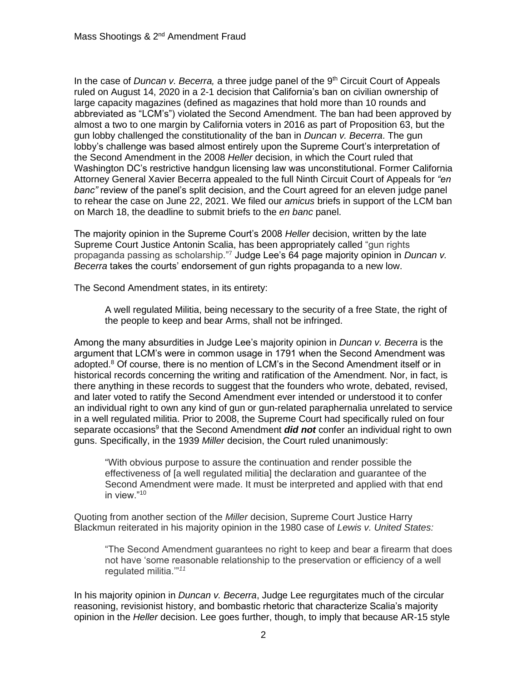In the case of *Duncan v. Becerra*, a three judge panel of the 9<sup>th</sup> Circuit Court of Appeals ruled on August 14, 2020 in a 2-1 decision that California's ban on civilian ownership of large capacity magazines (defined as magazines that hold more than 10 rounds and abbreviated as "LCM's") violated the Second Amendment. The ban had been approved by almost a two to one margin by California voters in 2016 as part of Proposition 63, but the gun lobby challenged the constitutionality of the ban in *Duncan v. Becerra*. The gun lobby's challenge was based almost entirely upon the Supreme Court's interpretation of the Second Amendment in the 2008 *Heller* decision, in which the Court ruled that Washington DC's restrictive handgun licensing law was unconstitutional. Former California Attorney General Xavier Becerra appealed to the full Ninth Circuit Court of Appeals for *"en banc"* review of the panel's split decision, and the Court agreed for an eleven judge panel to rehear the case on June 22, 2021. We filed our *amicus* briefs in support of the LCM ban on March 18, the deadline to submit briefs to the *en banc* panel.

The majority opinion in the Supreme Court's 2008 *Heller* decision, written by the late Supreme Court Justice Antonin Scalia, has been appropriately called "gun rights propaganda passing as scholarship."<sup>7</sup> Judge Lee's 64 page majority opinion in *Duncan v. Becerra* takes the courts' endorsement of gun rights propaganda to a new low.

The Second Amendment states, in its entirety:

A well regulated Militia, being necessary to the security of a free State, the right of the people to keep and bear Arms, shall not be infringed.

Among the many absurdities in Judge Lee's majority opinion in *Duncan v. Becerra* is the argument that LCM's were in common usage in 1791 when the Second Amendment was adopted.<sup>8</sup> Of course, there is no mention of LCM's in the Second Amendment itself or in historical records concerning the writing and ratification of the Amendment. Nor, in fact, is there anything in these records to suggest that the founders who wrote, debated, revised, and later voted to ratify the Second Amendment ever intended or understood it to confer an individual right to own any kind of gun or gun-related paraphernalia unrelated to service in a well regulated militia. Prior to 2008, the Supreme Court had specifically ruled on four separate occasions<sup>9</sup> that the Second Amendment *did not* confer an individual right to own guns. Specifically, in the 1939 *Miller* decision, the Court ruled unanimously:

"With obvious purpose to assure the continuation and render possible the effectiveness of [a well regulated militia] the declaration and guarantee of the Second Amendment were made. It must be interpreted and applied with that end in view."<sup>10</sup>

Quoting from another section of the *Miller* decision, Supreme Court Justice Harry Blackmun reiterated in his majority opinion in the 1980 case of *Lewis v. United States:*

"The Second Amendment guarantees no right to keep and bear a firearm that does not have 'some reasonable relationship to the preservation or efficiency of a well regulated militia.'"*<sup>11</sup>*

In his majority opinion in *Duncan v. Becerra*, Judge Lee regurgitates much of the circular reasoning, revisionist history, and bombastic rhetoric that characterize Scalia's majority opinion in the *Heller* decision. Lee goes further, though, to imply that because AR-15 style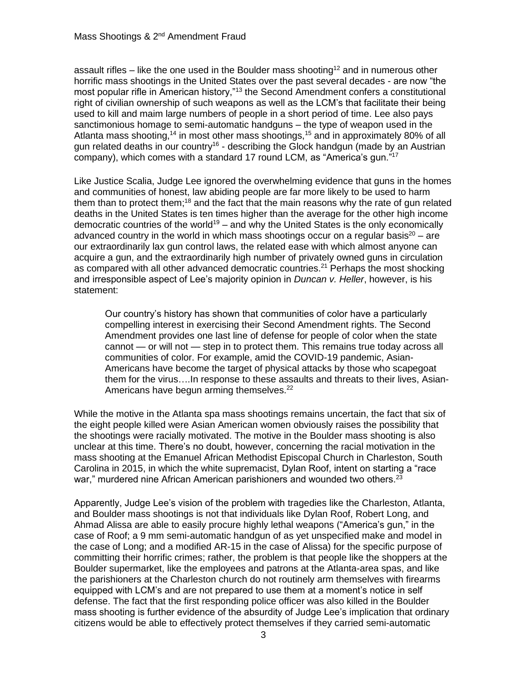assault rifles – like the one used in the Boulder mass shooting<sup>12</sup> and in numerous other horrific mass shootings in the United States over the past several decades - are now "the most popular rifle in American history,"<sup>13</sup> the Second Amendment confers a constitutional right of civilian ownership of such weapons as well as the LCM's that facilitate their being used to kill and maim large numbers of people in a short period of time. Lee also pays sanctimonious homage to semi-automatic handguns – the type of weapon used in the Atlanta mass shooting,<sup>14</sup> in most other mass shootings,<sup>15</sup> and in approximately 80% of all gun related deaths in our country<sup>16</sup> - describing the Glock handgun (made by an Austrian company), which comes with a standard 17 round LCM, as "America's gun."<sup>17</sup>

Like Justice Scalia, Judge Lee ignored the overwhelming evidence that guns in the homes and communities of honest, law abiding people are far more likely to be used to harm them than to protect them;<sup>18</sup> and the fact that the main reasons why the rate of gun related deaths in the United States is ten times higher than the average for the other high income democratic countries of the world<sup>19</sup> – and why the United States is the only economically advanced country in the world in which mass shootings occur on a regular basis<sup>20</sup> – are our extraordinarily lax gun control laws, the related ease with which almost anyone can acquire a gun, and the extraordinarily high number of privately owned guns in circulation as compared with all other advanced democratic countries.<sup>21</sup> Perhaps the most shocking and irresponsible aspect of Lee's majority opinion in *Duncan v. Heller*, however, is his statement:

Our country's history has shown that communities of color have a particularly compelling interest in exercising their Second Amendment rights. The Second Amendment provides one last line of defense for people of color when the state cannot — or will not — step in to protect them. This remains true today across all communities of color. For example, amid the COVID-19 pandemic, Asian-Americans have become the target of physical attacks by those who scapegoat them for the virus….In response to these assaults and threats to their lives, Asian-Americans have begun arming themselves.<sup>22</sup>

While the motive in the Atlanta spa mass shootings remains uncertain, the fact that six of the eight people killed were Asian American women obviously raises the possibility that the shootings were racially motivated. The motive in the Boulder mass shooting is also unclear at this time. There's no doubt, however, concerning the racial motivation in the mass shooting at the Emanuel African Methodist Episcopal Church in Charleston, South Carolina in 2015, in which the white supremacist, Dylan Roof, intent on starting a "race war," murdered nine African American parishioners and wounded two others.<sup>23</sup>

Apparently, Judge Lee's vision of the problem with tragedies like the Charleston, Atlanta, and Boulder mass shootings is not that individuals like Dylan Roof, Robert Long, and Ahmad Alissa are able to easily procure highly lethal weapons ("America's gun," in the case of Roof; a 9 mm semi-automatic handgun of as yet unspecified make and model in the case of Long; and a modified AR-15 in the case of Alissa) for the specific purpose of committing their horrific crimes; rather, the problem is that people like the shoppers at the Boulder supermarket, like the employees and patrons at the Atlanta-area spas, and like the parishioners at the Charleston church do not routinely arm themselves with firearms equipped with LCM's and are not prepared to use them at a moment's notice in self defense. The fact that the first responding police officer was also killed in the Boulder mass shooting is further evidence of the absurdity of Judge Lee's implication that ordinary citizens would be able to effectively protect themselves if they carried semi-automatic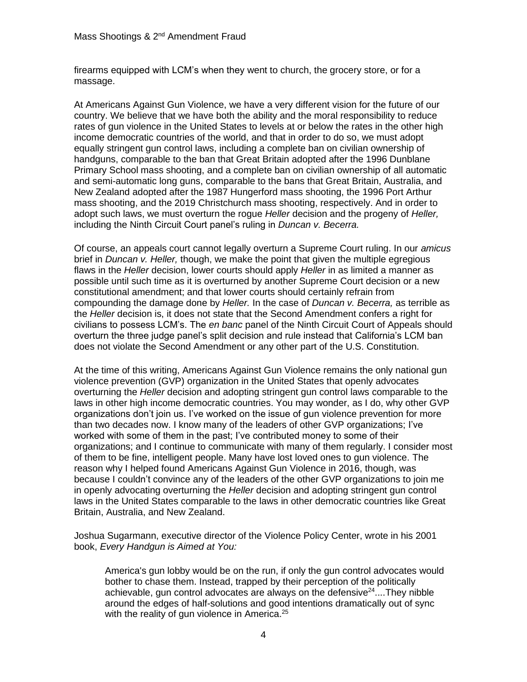firearms equipped with LCM's when they went to church, the grocery store, or for a massage.

At Americans Against Gun Violence, we have a very different vision for the future of our country. We believe that we have both the ability and the moral responsibility to reduce rates of gun violence in the United States to levels at or below the rates in the other high income democratic countries of the world, and that in order to do so, we must adopt equally stringent gun control laws, including a complete ban on civilian ownership of handguns, comparable to the ban that Great Britain adopted after the 1996 Dunblane Primary School mass shooting, and a complete ban on civilian ownership of all automatic and semi-automatic long guns, comparable to the bans that Great Britain, Australia, and New Zealand adopted after the 1987 Hungerford mass shooting, the 1996 Port Arthur mass shooting, and the 2019 Christchurch mass shooting, respectively. And in order to adopt such laws, we must overturn the rogue *Heller* decision and the progeny of *Heller,*  including the Ninth Circuit Court panel's ruling in *Duncan v. Becerra.*

Of course, an appeals court cannot legally overturn a Supreme Court ruling. In our *amicus*  brief in *Duncan v. Heller,* though, we make the point that given the multiple egregious flaws in the *Heller* decision, lower courts should apply *Heller* in as limited a manner as possible until such time as it is overturned by another Supreme Court decision or a new constitutional amendment; and that lower courts should certainly refrain from compounding the damage done by *Heller.* In the case of *Duncan v. Becerra,* as terrible as the *Heller* decision is, it does not state that the Second Amendment confers a right for civilians to possess LCM's. The *en banc* panel of the Ninth Circuit Court of Appeals should overturn the three judge panel's split decision and rule instead that California's LCM ban does not violate the Second Amendment or any other part of the U.S. Constitution.

At the time of this writing, Americans Against Gun Violence remains the only national gun violence prevention (GVP) organization in the United States that openly advocates overturning the *Heller* decision and adopting stringent gun control laws comparable to the laws in other high income democratic countries. You may wonder, as I do, why other GVP organizations don't join us. I've worked on the issue of gun violence prevention for more than two decades now. I know many of the leaders of other GVP organizations; I've worked with some of them in the past; I've contributed money to some of their organizations; and I continue to communicate with many of them regularly. I consider most of them to be fine, intelligent people. Many have lost loved ones to gun violence. The reason why I helped found Americans Against Gun Violence in 2016, though, was because I couldn't convince any of the leaders of the other GVP organizations to join me in openly advocating overturning the *Heller* decision and adopting stringent gun control laws in the United States comparable to the laws in other democratic countries like Great Britain, Australia, and New Zealand.

Joshua Sugarmann, executive director of the Violence Policy Center, wrote in his 2001 book, *Every Handgun is Aimed at You:* 

America's gun lobby would be on the run, if only the gun control advocates would bother to chase them. Instead, trapped by their perception of the politically achievable, gun control advocates are always on the defensive $24$ ....They nibble around the edges of half-solutions and good intentions dramatically out of sync with the reality of gun violence in America. $25$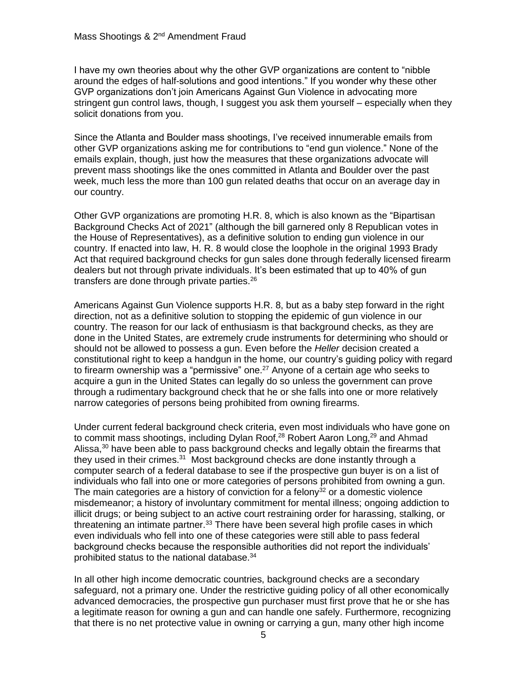I have my own theories about why the other GVP organizations are content to "nibble around the edges of half-solutions and good intentions." If you wonder why these other GVP organizations don't join Americans Against Gun Violence in advocating more stringent gun control laws, though, I suggest you ask them yourself – especially when they solicit donations from you.

Since the Atlanta and Boulder mass shootings, I've received innumerable emails from other GVP organizations asking me for contributions to "end gun violence." None of the emails explain, though, just how the measures that these organizations advocate will prevent mass shootings like the ones committed in Atlanta and Boulder over the past week, much less the more than 100 gun related deaths that occur on an average day in our country.

Other GVP organizations are promoting H.R. 8, which is also known as the "Bipartisan Background Checks Act of 2021" (although the bill garnered only 8 Republican votes in the House of Representatives), as a definitive solution to ending gun violence in our country. If enacted into law, H. R. 8 would close the loophole in the original 1993 Brady Act that required background checks for gun sales done through federally licensed firearm dealers but not through private individuals. It's been estimated that up to 40% of gun transfers are done through private parties.<sup>26</sup>

Americans Against Gun Violence supports H.R. 8, but as a baby step forward in the right direction, not as a definitive solution to stopping the epidemic of gun violence in our country. The reason for our lack of enthusiasm is that background checks, as they are done in the United States, are extremely crude instruments for determining who should or should not be allowed to possess a gun. Even before the *Heller* decision created a constitutional right to keep a handgun in the home, our country's guiding policy with regard to firearm ownership was a "permissive" one.<sup>27</sup> Anyone of a certain age who seeks to acquire a gun in the United States can legally do so unless the government can prove through a rudimentary background check that he or she falls into one or more relatively narrow categories of persons being prohibited from owning firearms.

Under current federal background check criteria, even most individuals who have gone on to commit mass shootings, including Dylan Roof, $^{28}$  Robert Aaron Long, $^{29}$  and Ahmad Alissa,<sup>30</sup> have been able to pass background checks and legally obtain the firearms that they used in their crimes. $31$  Most background checks are done instantly through a computer search of a federal database to see if the prospective gun buyer is on a list of individuals who fall into one or more categories of persons prohibited from owning a gun. The main categories are a history of conviction for a felony<sup>32</sup> or a domestic violence misdemeanor; a history of involuntary commitment for mental illness; ongoing addiction to illicit drugs; or being subject to an active court restraining order for harassing, stalking, or threatening an intimate partner. $33$  There have been several high profile cases in which even individuals who fell into one of these categories were still able to pass federal background checks because the responsible authorities did not report the individuals' prohibited status to the national database.<sup>34</sup>

In all other high income democratic countries, background checks are a secondary safeguard, not a primary one. Under the restrictive guiding policy of all other economically advanced democracies, the prospective gun purchaser must first prove that he or she has a legitimate reason for owning a gun and can handle one safely. Furthermore, recognizing that there is no net protective value in owning or carrying a gun, many other high income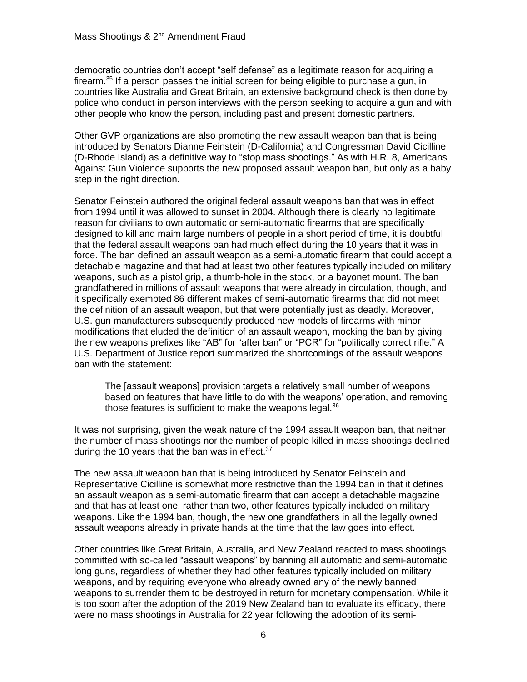democratic countries don't accept "self defense" as a legitimate reason for acquiring a firearm.<sup>35</sup> If a person passes the initial screen for being eligible to purchase a gun, in countries like Australia and Great Britain, an extensive background check is then done by police who conduct in person interviews with the person seeking to acquire a gun and with other people who know the person, including past and present domestic partners.

Other GVP organizations are also promoting the new assault weapon ban that is being introduced by Senators Dianne Feinstein (D-California) and Congressman David Cicilline (D-Rhode Island) as a definitive way to "stop mass shootings." As with H.R. 8, Americans Against Gun Violence supports the new proposed assault weapon ban, but only as a baby step in the right direction.

Senator Feinstein authored the original federal assault weapons ban that was in effect from 1994 until it was allowed to sunset in 2004. Although there is clearly no legitimate reason for civilians to own automatic or semi-automatic firearms that are specifically designed to kill and maim large numbers of people in a short period of time, it is doubtful that the federal assault weapons ban had much effect during the 10 years that it was in force. The ban defined an assault weapon as a semi-automatic firearm that could accept a detachable magazine and that had at least two other features typically included on military weapons, such as a pistol grip, a thumb-hole in the stock, or a bayonet mount. The ban grandfathered in millions of assault weapons that were already in circulation, though, and it specifically exempted 86 different makes of semi-automatic firearms that did not meet the definition of an assault weapon, but that were potentially just as deadly. Moreover, U.S. gun manufacturers subsequently produced new models of firearms with minor modifications that eluded the definition of an assault weapon, mocking the ban by giving the new weapons prefixes like "AB" for "after ban" or "PCR" for "politically correct rifle." A U.S. Department of Justice report summarized the shortcomings of the assault weapons ban with the statement:

The [assault weapons] provision targets a relatively small number of weapons based on features that have little to do with the weapons' operation, and removing those features is sufficient to make the weapons legal.<sup>36</sup>

It was not surprising, given the weak nature of the 1994 assault weapon ban, that neither the number of mass shootings nor the number of people killed in mass shootings declined during the 10 years that the ban was in effect. $37$ 

The new assault weapon ban that is being introduced by Senator Feinstein and Representative Cicilline is somewhat more restrictive than the 1994 ban in that it defines an assault weapon as a semi-automatic firearm that can accept a detachable magazine and that has at least one, rather than two, other features typically included on military weapons. Like the 1994 ban, though, the new one grandfathers in all the legally owned assault weapons already in private hands at the time that the law goes into effect.

Other countries like Great Britain, Australia, and New Zealand reacted to mass shootings committed with so-called "assault weapons" by banning all automatic and semi-automatic long guns, regardless of whether they had other features typically included on military weapons, and by requiring everyone who already owned any of the newly banned weapons to surrender them to be destroyed in return for monetary compensation. While it is too soon after the adoption of the 2019 New Zealand ban to evaluate its efficacy, there were no mass shootings in Australia for 22 year following the adoption of its semi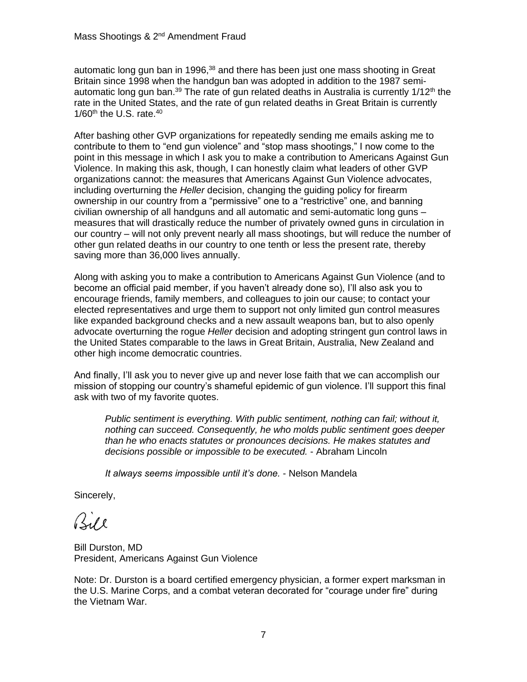automatic long gun ban in 1996,<sup>38</sup> and there has been just one mass shooting in Great Britain since 1998 when the handgun ban was adopted in addition to the 1987 semiautomatic long gun ban.<sup>39</sup> The rate of gun related deaths in Australia is currently  $1/12<sup>th</sup>$  the rate in the United States, and the rate of gun related deaths in Great Britain is currently  $1/60$ <sup>th</sup> the U.S. rate.<sup>40</sup>

After bashing other GVP organizations for repeatedly sending me emails asking me to contribute to them to "end gun violence" and "stop mass shootings," I now come to the point in this message in which I ask you to make a contribution to Americans Against Gun Violence. In making this ask, though, I can honestly claim what leaders of other GVP organizations cannot: the measures that Americans Against Gun Violence advocates, including overturning the *Heller* decision, changing the guiding policy for firearm ownership in our country from a "permissive" one to a "restrictive" one, and banning civilian ownership of all handguns and all automatic and semi-automatic long guns – measures that will drastically reduce the number of privately owned guns in circulation in our country – will not only prevent nearly all mass shootings, but will reduce the number of other gun related deaths in our country to one tenth or less the present rate, thereby saving more than 36,000 lives annually.

Along with asking you to make a contribution to Americans Against Gun Violence (and to become an official paid member, if you haven't already done so), I'll also ask you to encourage friends, family members, and colleagues to join our cause; to contact your elected representatives and urge them to support not only limited gun control measures like expanded background checks and a new assault weapons ban, but to also openly advocate overturning the rogue *Heller* decision and adopting stringent gun control laws in the United States comparable to the laws in Great Britain, Australia, New Zealand and other high income democratic countries.

And finally, I'll ask you to never give up and never lose faith that we can accomplish our mission of stopping our country's shameful epidemic of gun violence. I'll support this final ask with two of my favorite quotes.

*Public sentiment is everything. With public sentiment, nothing can fail; without it, nothing can succeed. Consequently, he who molds public sentiment goes deeper than he who enacts statutes or pronounces decisions. He makes statutes and decisions possible or impossible to be executed.* - Abraham Lincoln

*It always seems impossible until it's done.* - Nelson Mandela

Sincerely,

Bile

Bill Durston, MD President, Americans Against Gun Violence

Note: Dr. Durston is a board certified emergency physician, a former expert marksman in the U.S. Marine Corps, and a combat veteran decorated for "courage under fire" during the Vietnam War.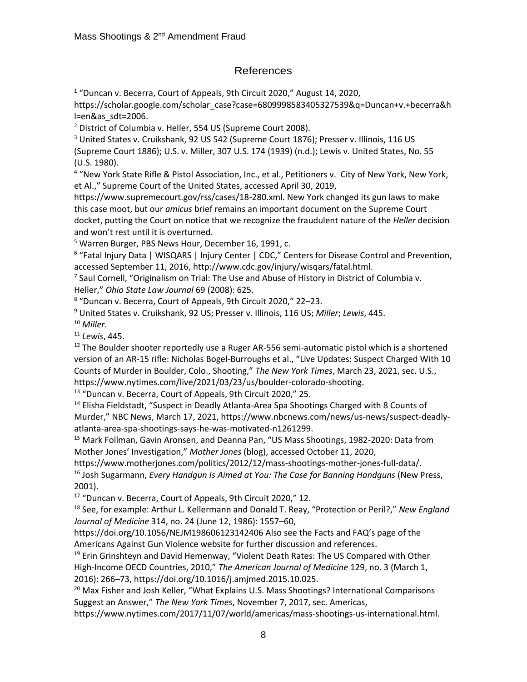## References

https://scholar.google.com/scholar\_case?case=6809998583405327539&q=Duncan+v.+becerra&h l=en&as\_sdt=2006.

<sup>3</sup> United States v. Cruikshank, 92 US 542 (Supreme Court 1876); Presser v. Illinois, 116 US (Supreme Court 1886); U.S. v. Miller, 307 U.S. 174 (1939) (n.d.); Lewis v. United States, No. 55 (U.S. 1980).

4 "New York State Rifle & Pistol Association, Inc., et al., Petitioners v. City of New York, New York, et Al.," Supreme Court of the United States, accessed April 30, 2019,

https://www.supremecourt.gov/rss/cases/18-280.xml. New York changed its gun laws to make this case moot, but our *amicus* brief remains an important document on the Supreme Court docket, putting the Court on notice that we recognize the fraudulent nature of the *Heller* decision and won't rest until it is overturned.

<sup>5</sup> Warren Burger, PBS News Hour, December 16, 1991, c.

<sup>6</sup> "Fatal Injury Data | WISQARS | Injury Center | CDC," Centers for Disease Control and Prevention, accessed September 11, 2016, http://www.cdc.gov/injury/wisqars/fatal.html.

<sup>7</sup> Saul Cornell, "Originalism on Trial: The Use and Abuse of History in District of Columbia v. Heller," *Ohio State Law Journal* 69 (2008): 625.

8 "Duncan v. Becerra, Court of Appeals, 9th Circuit 2020," 22–23.

<sup>9</sup> United States v. Cruikshank, 92 US; Presser v. Illinois, 116 US; *Miller*; *Lewis*, 445. <sup>10</sup> *Miller*.

<sup>11</sup> *Lewis*, 445.

 $12$  The Boulder shooter reportedly use a Ruger AR-556 semi-automatic pistol which is a shortened version of an AR-15 rifle: Nicholas Bogel-Burroughs et al., "Live Updates: Suspect Charged With 10 Counts of Murder in Boulder, Colo., Shooting," *The New York Times*, March 23, 2021, sec. U.S., https://www.nytimes.com/live/2021/03/23/us/boulder-colorado-shooting.

<sup>13</sup> "Duncan v. Becerra, Court of Appeals, 9th Circuit 2020," 25.

<sup>14</sup> Elisha Fieldstadt, "Suspect in Deadly Atlanta-Area Spa Shootings Charged with 8 Counts of Murder," NBC News, March 17, 2021, https://www.nbcnews.com/news/us-news/suspect-deadlyatlanta-area-spa-shootings-says-he-was-motivated-n1261299.

<sup>15</sup> Mark Follman, Gavin Aronsen, and Deanna Pan, "US Mass Shootings, 1982-2020: Data from Mother Jones' Investigation," *Mother Jones* (blog), accessed October 11, 2020,

https://www.motherjones.com/politics/2012/12/mass-shootings-mother-jones-full-data/.

<sup>16</sup> Josh Sugarmann, *Every Handgun Is Aimed at You: The Case for Banning Handguns* (New Press, 2001).

<sup>17</sup> "Duncan v. Becerra, Court of Appeals, 9th Circuit 2020," 12.

<sup>18</sup> See, for example: Arthur L. Kellermann and Donald T. Reay, "Protection or Peril?," *New England Journal of Medicine* 314, no. 24 (June 12, 1986): 1557–60,

https://doi.org/10.1056/NEJM198606123142406 Also see the Facts and FAQ's page of the Americans Against Gun Violence website for further discussion and references.

 $19$  Erin Grinshteyn and David Hemenway, "Violent Death Rates: The US Compared with Other High-Income OECD Countries, 2010," *The American Journal of Medicine* 129, no. 3 (March 1, 2016): 266–73, https://doi.org/10.1016/j.amjmed.2015.10.025.

<sup>20</sup> Max Fisher and Josh Keller, "What Explains U.S. Mass Shootings? International Comparisons Suggest an Answer," *The New York Times*, November 7, 2017, sec. Americas,

https://www.nytimes.com/2017/11/07/world/americas/mass-shootings-us-international.html.

<sup>&</sup>lt;sup>1</sup> "Duncan v. Becerra, Court of Appeals, 9th Circuit 2020," August 14, 2020,

<sup>2</sup> District of Columbia v. Heller, 554 US (Supreme Court 2008).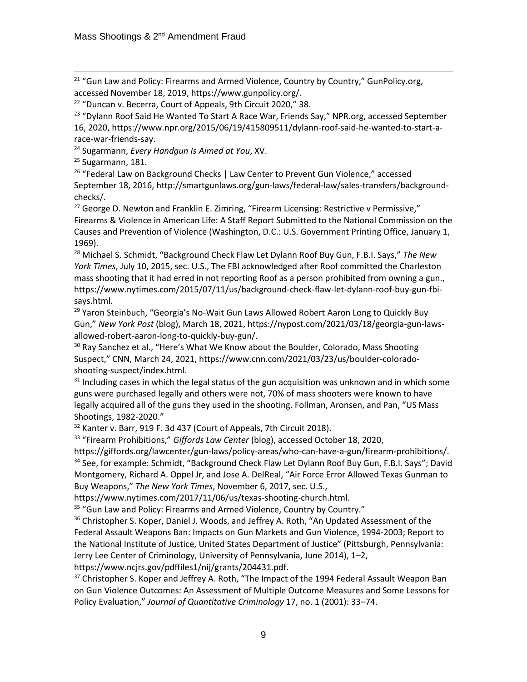<sup>21</sup> "Gun Law and Policy: Firearms and Armed Violence, Country by Country," GunPolicy.org, accessed November 18, 2019, https://www.gunpolicy.org/.

<sup>24</sup> Sugarmann, *Every Handgun Is Aimed at You*, XV.

<sup>25</sup> Sugarmann, 181.

<sup>26</sup> "Federal Law on Background Checks | Law Center to Prevent Gun Violence," accessed September 18, 2016, http://smartgunlaws.org/gun-laws/federal-law/sales-transfers/backgroundchecks/.

<sup>27</sup> George D. Newton and Franklin E. Zimring, "Firearm Licensing: Restrictive v Permissive," Firearms & Violence in American Life: A Staff Report Submitted to the National Commission on the Causes and Prevention of Violence (Washington, D.C.: U.S. Government Printing Office, January 1, 1969).

<sup>28</sup> Michael S. Schmidt, "Background Check Flaw Let Dylann Roof Buy Gun, F.B.I. Says," *The New York Times*, July 10, 2015, sec. U.S., The FBI acknowledged after Roof committed the Charleston mass shooting that it had erred in not reporting Roof as a person prohibited from owning a gun., https://www.nytimes.com/2015/07/11/us/background-check-flaw-let-dylann-roof-buy-gun-fbisays.html.

<sup>29</sup> Yaron Steinbuch, "Georgia's No-Wait Gun Laws Allowed Robert Aaron Long to Quickly Buy Gun," *New York Post* (blog), March 18, 2021, https://nypost.com/2021/03/18/georgia-gun-lawsallowed-robert-aaron-long-to-quickly-buy-gun/.

<sup>30</sup> Ray Sanchez et al., "Here's What We Know about the Boulder, Colorado, Mass Shooting Suspect," CNN, March 24, 2021, https://www.cnn.com/2021/03/23/us/boulder-coloradoshooting-suspect/index.html.

 $31$  Including cases in which the legal status of the gun acquisition was unknown and in which some guns were purchased legally and others were not, 70% of mass shooters were known to have legally acquired all of the guns they used in the shooting. Follman, Aronsen, and Pan, "US Mass Shootings, 1982-2020."

<sup>32</sup> Kanter v. Barr, 919 F. 3d 437 (Court of Appeals, 7th Circuit 2018).

<sup>33</sup> "Firearm Prohibitions," *Giffords Law Center* (blog), accessed October 18, 2020,

https://giffords.org/lawcenter/gun-laws/policy-areas/who-can-have-a-gun/firearm-prohibitions/. <sup>34</sup> See, for example: Schmidt, "Background Check Flaw Let Dylann Roof Buy Gun, F.B.I. Says"; David Montgomery, Richard A. Oppel Jr, and Jose A. DelReal, "Air Force Error Allowed Texas Gunman to Buy Weapons," *The New York Times*, November 6, 2017, sec. U.S.,

https://www.nytimes.com/2017/11/06/us/texas-shooting-church.html.

<sup>35</sup> "Gun Law and Policy: Firearms and Armed Violence, Country by Country."

<sup>36</sup> Christopher S. Koper, Daniel J. Woods, and Jeffrey A. Roth, "An Updated Assessment of the Federal Assault Weapons Ban: Impacts on Gun Markets and Gun Violence, 1994-2003; Report to the National Institute of Justice, United States Department of Justice" (Pittsburgh, Pennsylvania: Jerry Lee Center of Criminology, University of Pennsylvania, June 2014), 1–2, https://www.ncjrs.gov/pdffiles1/nij/grants/204431.pdf.

 $37$  Christopher S. Koper and Jeffrey A. Roth, "The Impact of the 1994 Federal Assault Weapon Ban on Gun Violence Outcomes: An Assessment of Multiple Outcome Measures and Some Lessons for Policy Evaluation," *Journal of Quantitative Criminology* 17, no. 1 (2001): 33–74.

<sup>22</sup> "Duncan v. Becerra, Court of Appeals, 9th Circuit 2020," 38.

 $23$  "Dylann Roof Said He Wanted To Start A Race War, Friends Say," NPR.org, accessed September 16, 2020, https://www.npr.org/2015/06/19/415809511/dylann-roof-said-he-wanted-to-start-arace-war-friends-say.